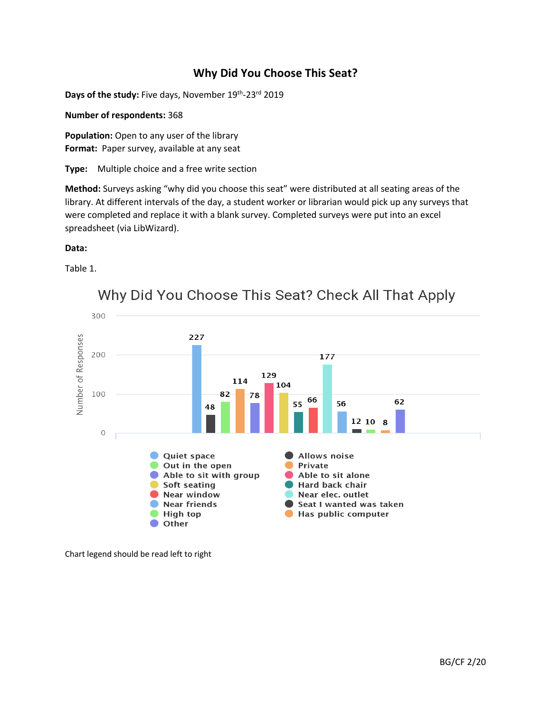# **Why Did You Choose This Seat?**

Days of the study: Five days, November 19<sup>th</sup>-23<sup>rd</sup> 2019

**Number of respondents:** 368

**Population:** Open to any user of the library **Format:** Paper survey, available at any seat

**Type:** Multiple choice and a free write section

**Method:** Surveys asking "why did you choose this seat" were distributed at all seating areas of the library. At different intervals of the day, a student worker or librarian would pick up any surveys that were completed and replace it with a blank survey. Completed surveys were put into an excel spreadsheet (via LibWizard).

### **Data:**

Table 1.



Why Did You Choose This Seat? Check All That Apply

Chart legend should be read left to right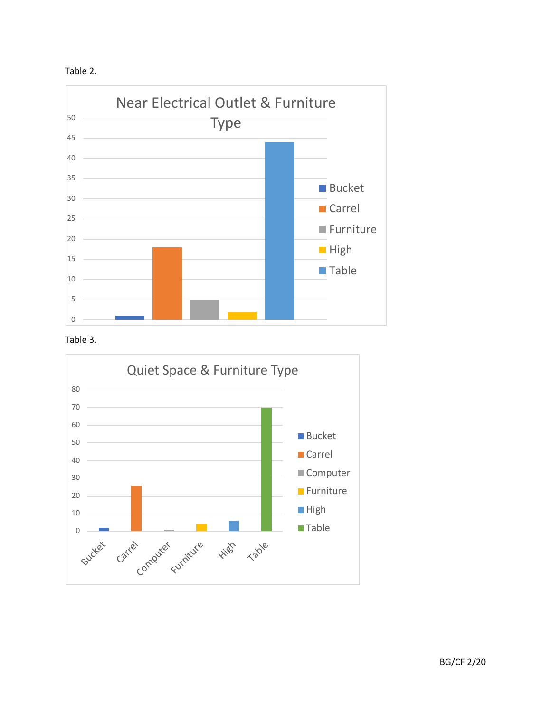





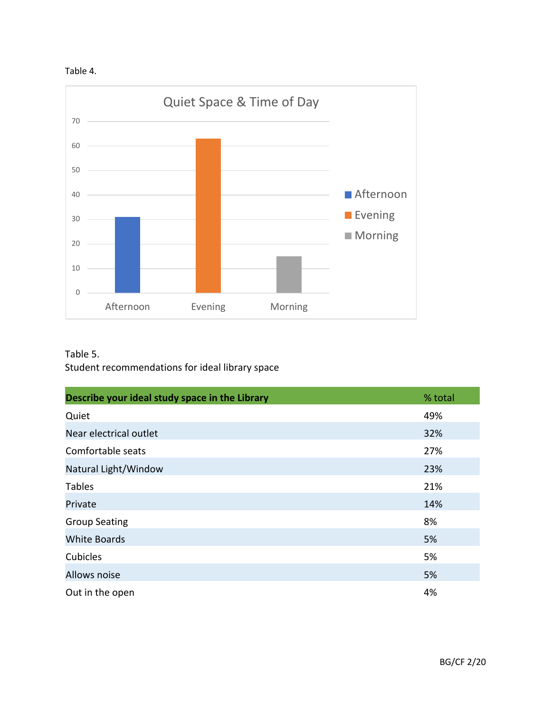



## Table 5.

Student recommendations for ideal library space

| Describe your ideal study space in the Library | % total |
|------------------------------------------------|---------|
| Quiet                                          | 49%     |
| Near electrical outlet                         | 32%     |
| Comfortable seats                              | 27%     |
| Natural Light/Window                           | 23%     |
| <b>Tables</b>                                  | 21%     |
| Private                                        | 14%     |
| <b>Group Seating</b>                           | 8%      |
| <b>White Boards</b>                            | 5%      |
| Cubicles                                       | 5%      |
| Allows noise                                   | 5%      |
| Out in the open                                | 4%      |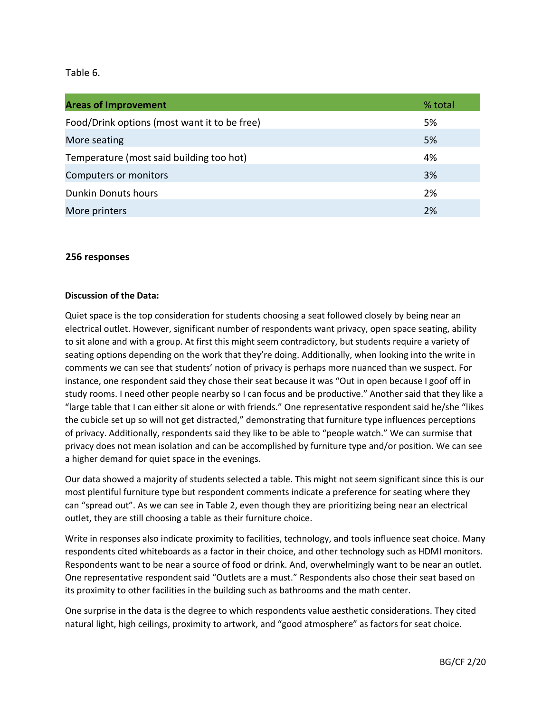## Table 6.

| <b>Areas of Improvement</b>                  | % total |
|----------------------------------------------|---------|
| Food/Drink options (most want it to be free) | 5%      |
| More seating                                 | 5%      |
| Temperature (most said building too hot)     | 4%      |
| Computers or monitors                        | 3%      |
| <b>Dunkin Donuts hours</b>                   | 2%      |
| More printers                                | 2%      |

## **256 responses**

### **Discussion of the Data:**

Quiet space is the top consideration for students choosing a seat followed closely by being near an electrical outlet. However, significant number of respondents want privacy, open space seating, ability to sit alone and with a group. At first this might seem contradictory, but students require a variety of seating options depending on the work that they're doing. Additionally, when looking into the write in comments we can see that students' notion of privacy is perhaps more nuanced than we suspect. For instance, one respondent said they chose their seat because it was "Out in open because I goof off in study rooms. I need other people nearby so I can focus and be productive." Another said that they like a "large table that I can either sit alone or with friends." One representative respondent said he/she "likes the cubicle set up so will not get distracted," demonstrating that furniture type influences perceptions of privacy. Additionally, respondents said they like to be able to "people watch." We can surmise that privacy does not mean isolation and can be accomplished by furniture type and/or position. We can see a higher demand for quiet space in the evenings.

Our data showed a majority of students selected a table. This might not seem significant since this is our most plentiful furniture type but respondent comments indicate a preference for seating where they can "spread out". As we can see in Table 2, even though they are prioritizing being near an electrical outlet, they are still choosing a table as their furniture choice.

Write in responses also indicate proximity to facilities, technology, and tools influence seat choice. Many respondents cited whiteboards as a factor in their choice, and other technology such as HDMI monitors. Respondents want to be near a source of food or drink. And, overwhelmingly want to be near an outlet. One representative respondent said "Outlets are a must." Respondents also chose their seat based on its proximity to other facilities in the building such as bathrooms and the math center.

One surprise in the data is the degree to which respondents value aesthetic considerations. They cited natural light, high ceilings, proximity to artwork, and "good atmosphere" as factors for seat choice.